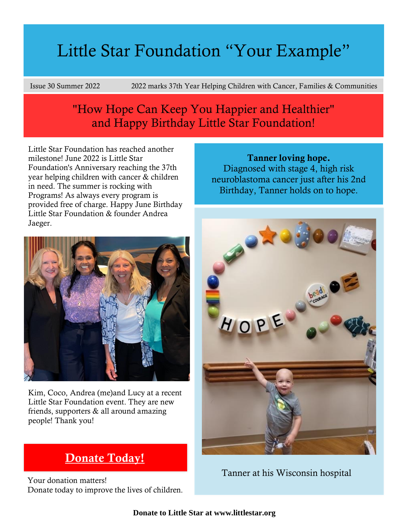# Little Star Foundation "Your Example"

Issue 30 Summer 2022 2022 marks 37th Year Helping Children with Cancer, Families & Communities

## "How Hope Can Keep You Happier and Healthier" and Happy Birthday Little Star Foundation!

Little Star Foundation has reached another milestone! June 2022 is Little Star Foundation's Anniversary reaching the 37th year helping children with cancer & children in need. The summer is rocking with Programs! As always every program is provided free of charge. Happy June Birthday Little Star Foundation & founder Andrea Jaeger.



Kim, Coco, Andrea (me)and Lucy at a recent Little Star Foundation event. They are new friends, supporters & all around amazing people! Thank you!

## [Donate Today!](https://www.paypal.com/donate/?token=6_Dqf-HPYfG93qm35YlR3EH5Fx7FWvZxKHCOJ1pOrVRyh8bdEkjNyxPooHM82F15NgOEq2P1rYX4JPmy&locale.x=US)

Your donation matters! Donate today to improve the lives of children.

Tanner loving hope. Diagnosed with stage 4, high risk neuroblastoma cancer just after his 2nd Birthday, Tanner holds on to hope.



Tanner at his Wisconsin hospital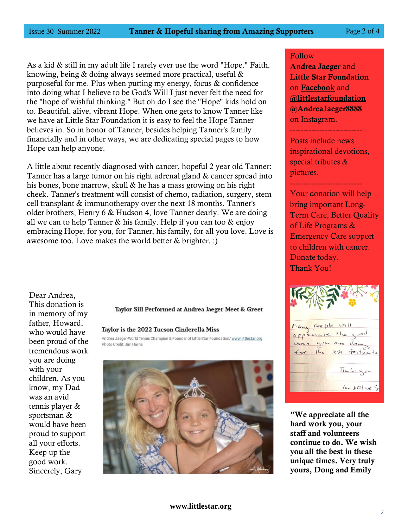As a kid & still in my adult life I rarely ever use the word "Hope." Faith, knowing, being & doing always seemed more practical, useful & purposeful for me. Plus when putting my energy, focus & confidence into doing what I believe to be God's Will I just never felt the need for the "hope of wishful thinking." But oh do I see the "Hope" kids hold on to. Beautiful, alive, vibrant Hope. When one gets to know Tanner like we have at Little Star Foundation it is easy to feel the Hope Tanner believes in. So in honor of Tanner, besides helping Tanner's family financially and in other ways, we are dedicating special pages to how Hope can help anyone.

A little about recently diagnosed with cancer, hopeful 2 year old Tanner: Tanner has a large tumor on his right adrenal gland & cancer spread into his bones, bone marrow, skull & he has a mass growing on his right cheek. Tanner's treatment will consist of chemo, radiation, surgery, stem cell transplant & immunotherapy over the next 18 months. Tanner's older brothers, Henry 6 & Hudson 4, love Tanner dearly. We are doing all we can to help Tanner & his family. Help if you can too & enjoy embracing Hope, for you, for Tanner, his family, for all you love. Love is awesome too. Love makes the world better & brighter. :)

Dear Andrea, This donation is in memory of my father, Howard, who would have been proud of the tremendous work you are doing with your children. As you know, my Dad was an avid tennis player & sportsman & would have been proud to support all your efforts. Keep up the good work. Sincerely, Gary

Taylor Sill Performed at Andrea Jaeger Meet & Greet

#### Taylor is the 2022 Tucson Cinderella Miss

Andrea Jaeger-World Tennis Champion & Founder of Little Star Foundation/ www.littlestar.org Photo Credit: Jim Harris



#### Follow

Andrea Jaeger and Little Star Foundation on [Facebook](https://www.facebook.com/andrea.jaeger.142/) and [@littlestarfoundation](https://www.instagram.com/littlestarfoundation/) [@AndreaJaeger8888](https://www.instagram.com/andreajaeger8888/) on Instagram. ---------------------------

Posts include news inspirational devotions, special tributes & pictures.

---------------------------

Your donation will help bring important Long-Term Care, Better Quality of Life Programs & Emergency Care support to children with cancer. Donate today. Thank You!

Many people will appreciate the good work you are down for the less fortun to Thuke you  $1 cm \neq O1$  we S

"We appreciate all the hard work you, your staff and volunteers continue to do. We wish you all the best in these unique times. Very truly yours, Doug and Emily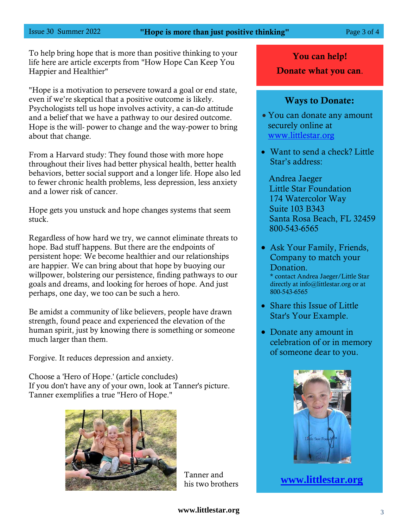#### Issue 30 Summer 2022 **Page 3 of 4** Page 3 of 4

To help bring hope that is more than positive thinking to your life here are article excerpts from "How Hope Can Keep You Happier and Healthier"

"Hope is a motivation to persevere toward a goal or end state, even if we're skeptical that a positive outcome is likely. Psychologists tell us hope involves activity, a can-do attitude and a belief that we have a pathway to our desired outcome. Hope is the will- power to change and the way-power to bring about that change.

From a Harvard study: They found those with more hope throughout their lives had better physical health, better health behaviors, better social support and a longer life. Hope also led to fewer chronic health problems, less depression, less anxiety and a lower risk of cancer.

Hope gets you unstuck and hope changes systems that seem stuck.

Regardless of how hard we try, we cannot eliminate threats to hope. Bad stuff happens. But there are the endpoints of persistent hope: We become healthier and our relationships are happier. We can bring about that hope by buoying our willpower, bolstering our persistence, finding pathways to our goals and dreams, and looking for heroes of hope. And just perhaps, one day, we too can be such a hero.

Be amidst a community of like believers, people have drawn strength, found peace and experienced the elevation of the human spirit, just by knowing there is something or someone much larger than them.

Forgive. It reduces depression and anxiety.

Choose a 'Hero of Hope.' (article concludes) If you don't have any of your own, look at Tanner's picture. Tanner exemplifies a true "Hero of Hope."



Tanner and his two brothers

You can help!

Donate what you can.

### Ways to Donate:

- You can donate any amount securely online at [www.littlestar.org](http://www.littlestar.org/)
- Want to send a check? Little Star's address:

Andrea Jaeger Little Star Foundation 174 Watercolor Way Suite 103 B343 Santa Rosa Beach, FL 32459 800-543-6565

- Ask Your Family, Friends, Company to match your Donation. \* contact Andrea Jaeger/Little Star directly at info@littlestar.org or at 800-543-6565
- Share this Issue of Little Star's Your Example.
- Donate any amount in celebration of or in memory of someone dear to you.



**[www.littlestar.org](http://www.littlestar.org/)**

**[www.littlestar.org](http://www.littlestar.org/)**